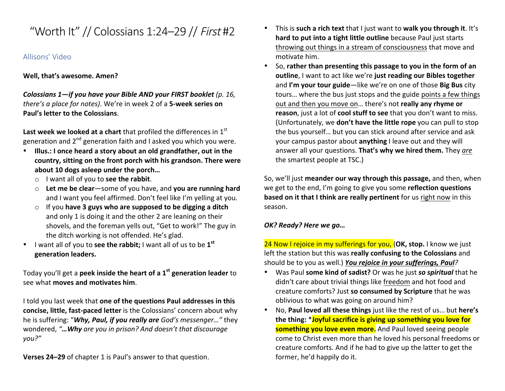# "Worth It" // Colossians 1:24–29 // First #2

## Allisons' Video

#### **Well, that's awesome. Amen?**

*Colossians*  $1$ -if you have your Bible AND your FIRST booklet (p. 16, *there's a place for notes)*. We're in week 2 of a 5-week series on **Paul's letter to the Colossians.** 

**Last week we looked at a chart** that profiled the differences in 1<sup>st</sup> generation and  $2^{nd}$  generation faith and I asked you which you were.

- Illus.: I once heard a story about an old grandfather, out in the country, sitting on the front porch with his grandson. There were about 10 dogs asleep under the porch...
	- o I want all of you to **see the rabbit**.
	- o Let me be clear-some of you have, and you are running hard and I want you feel affirmed. Don't feel like I'm yelling at you.
	- o If you **have 3 guys who are supposed to be digging a ditch** and only 1 is doing it and the other 2 are leaning on their shovels, and the foreman yells out, "Get to work!" The guy in the ditch working is not offended. He's glad.
- I want all of you to **see the rabbit;** I want all of us to be 1<sup>st</sup> **generation leaders.**

Today you'll get a **peek inside the heart of a 1<sup>st</sup> generation leader** to see what **moves and motivates him.** 

I told you last week that one of the questions Paul addresses in this **concise, little, fast-paced letter** is the Colossians' concern about why he is suffering: "**Why, Paul, if you really are** God's messenger..." they wondered, "... Why are you in prison? And doesn't that discourage *you?"*

**Verses 24–29** of chapter 1 is Paul's answer to that question.

- This is such a rich text that I just want to walk you through it. It's **hard to put into a tight little outline** because Paul just starts throwing out things in a stream of consciousness that move and motivate him.
- So, rather than presenting this passage to you in the form of an **outline**, I want to act like we're just reading our Bibles together and I'm your tour guide-like we're on one of those Big Bus city tours... where the bus just stops and the guide points a few things out and then you move on... there's not **really any rhyme or reason**, just a lot of **cool stuff to see** that you don't want to miss. (Unfortunately, we **don't have the little rope** you can pull to stop the bus yourself... but you can stick around after service and ask your campus pastor about **anything** I leave out and they will answer all your questions. **That's why we hired them.** They are the smartest people at TSC.)

So, we'll just meander our way through this passage, and then, when we get to the end, I'm going to give you some **reflection questions based on it that I think are really pertinent** for us right now in this season.

#### *OK? Ready? Here we go…*

**24 Now I rejoice in my sufferings for you, (OK, stop.** I know we just left the station but this was really confusing to the Colossians and should be to you as well.) **You rejoice in your sufferings, Paul**?

- Was Paul **some kind of sadist?** Or was he just so spiritual that he didn't care about trivial things like freedom and hot food and creature comforts? Just so consumed by Scripture that he was oblivious to what was going on around him?
- No, Paul loved all these things just like the rest of us... but here's **the thing: \*Joyful sacrifice is giving up something you love for something you love even more.** And Paul loved seeing people come to Christ even more than he loved his personal freedoms or creature comforts. And if he had to give up the latter to get the former, he'd happily do it.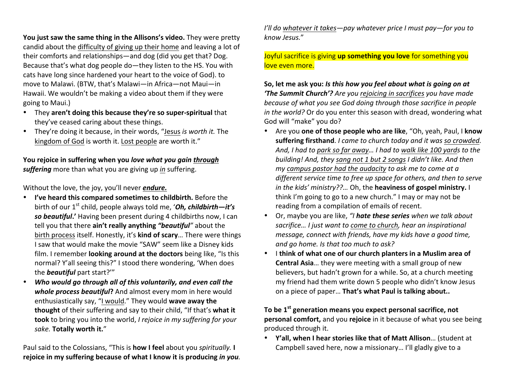**You just saw the same thing in the Allisons's video.** They were pretty candid about the difficulty of giving up their home and leaving a lot of their comforts and relationships—and dog (did you get that? Dog. Because that's what dog people do—they listen to the HS. You with cats have long since hardened your heart to the voice of God). to move to Malawi. (BTW, that's Malawi-in Africa-not Maui-in Hawaii. We wouldn't be making a video about them if they were going to Maui.)

- They aren't doing this because they're so super-spiritual that they've ceased caring about these things.
- They're doing it because, in their words, "Jesus *is worth it*. The kingdom of God is worth it. Lost people are worth it."

You rejoice in suffering when you *love what you gain through suffering* more than what you are giving up in suffering.

Without the love, the joy, you'll never *endure*.

- **I've heard this compared sometimes to childbirth.** Before the birth of our 1<sup>st</sup> child, people always told me, 'Oh, childbirth-it's so **beautiful.'** Having been present during 4 childbirths now, I can tell you that there **ain't really anything "beautiful**" about the birth process itself. Honestly, it's **kind of scary**... There were things I saw that would make the movie "SAW" seem like a Disney kids film. I remember **looking around at the doctors** being like, "Is this normal? Y'all seeing this?" I stood there wondering, 'When does the **beautiful** part start?"
- *Who would go through all of this voluntarily, and even call the* **whole process beautiful?** And almost every mom in here would enthusiastically say, "I would." They would wave away the **thought** of their suffering and say to their child, "If that's what it **took** to bring you into the world, *I* rejoice in my suffering for your sake. Totally worth it."

Paul said to the Colossians, "This is **how I feel** about you *spiritually*. I **rejoice in my suffering because of what I know it is producing in you.**  *I'll do whatever it takes—pay whatever price I must pay—for you to know Jesus.*"

#### Joyful sacrifice is giving up something you love for something you love even more.

So, let me ask you: *Is this how you feel about what is going on at* **'The Summit Church'?** Are you rejoicing in sacrifices you have made *because of what you see God doing through those sacrifice in people in the world?* Or do you enter this season with dread, wondering what God will "make" you do?

- Are you **one of those people who are like**, "Oh, yeah, Paul, I know suffering firsthand. *I came to church today and it was so crowded.* And, I had to park so far away... I had to walk like 100 yards to the *building! And, they sang not 1 but 2 songs I didn't like. And then my* campus pastor had the audacity to ask me to come at a *different service time to free up space for others, and then to serve in the kids' ministry??...* Oh, the **heaviness of gospel ministry.** I think I'm going to go to a new church." I may or may not be reading from a compilation of emails of recent.
- Or, maybe you are like, "*I* hate these series when we talk about sacrifice... *I* just want to come to church, hear an inspirational *message, connect with friends, have my kids have a good time, and go home.* Is that too much to ask?
- I think of what one of our church planters in a Muslim area of **Central Asia...** they were meeting with a small group of new believers, but hadn't grown for a while. So, at a church meeting my friend had them write down 5 people who didn't know Jesus on a piece of paper... That's what Paul is talking about..

To be 1<sup>st</sup> generation means you expect personal sacrifice, not **personal comfort,** and you **rejoice** in it because of what you see being produced through it.

• **Y'all, when I hear stories like that of Matt Allison...** (student at Campbell saved here, now a missionary... I'll gladly give to a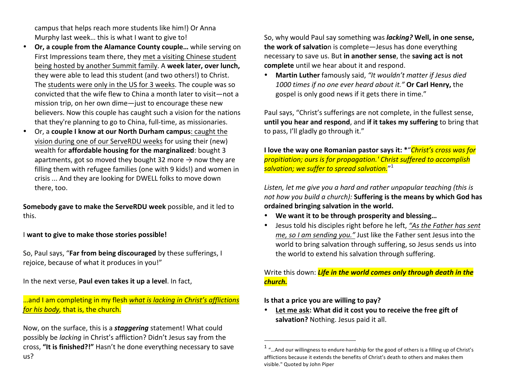campus that helps reach more students like him!) Or Anna Murphy last week... this is what I want to give to!

- Or, a couple from the Alamance County couple... while serving on First Impressions team there, they met a visiting Chinese student being hosted by another Summit family. A week later, over lunch, they were able to lead this student (and two others!) to Christ. The students were only in the US for 3 weeks. The couple was so convicted that the wife flew to China a month later to visit—not a mission trip, on her own dime-just to encourage these new believers. Now this couple has caught such a vision for the nations that they're planning to go to China, full-time, as missionaries.
- Or, a **couple I know at our North Durham campus**: caught the vision during one of our ServeRDU weeks for using their (new) wealth for **affordable housing for the marginalized**: bought 3 apartments, got so moved they bought 32 more  $\rightarrow$  now they are filling them with refugee families (one with 9 kids!) and women in crisis ... And they are looking for DWELL folks to move down there, too.

**Somebody gave to make the ServeRDU week** possible, and it led to this. 

I want to give to make those stories possible!

So, Paul says, "Far from being discouraged by these sufferings, I rejoice, because of what it produces in you!"

In the next verse, **Paul even takes it up a level**. In fact,

...and I am completing in my flesh what is lacking in Christ's afflictions *for his body, that is, the church.* 

Now, on the surface, this is a **staggering** statement! What could possibly be *lacking* in Christ's affliction? Didn't Jesus say from the cross, "It is finished?!" Hasn't he done everything necessary to save us? 

So, why would Paul say something was *lacking?* Well, in one sense, **the work of salvatio**n is complete—Jesus has done everything necessary to save us. But in another sense, the saving act is not **complete** until we hear about it and respond.

• Martin Luther famously said, "It wouldn't matter if Jesus died 1000 times if no one ever heard about it." Or Carl Henry, the gospel is only good news if it gets there in time."

Paul says, "Christ's sufferings are not complete, in the fullest sense, until you hear and respond, and if it takes my suffering to bring that to pass, I'll gladly go through it."

**I** love the way one Romanian pastor says it:  $*$ "*Christ's cross was for propitiation;* ours is for propagation.' Christ suffered to accomplish <mark>salvation; we suffer to spread salvation.</mark>"<sup>1</sup>

Listen, let me give you a hard and rather unpopular teaching (this is *not how you build a church):* Suffering is the means by which God has ordained bringing salvation in the world.

- We want it to be through prosperity and blessing...
- Jesus told his disciples right before he left, "As the Father has sent *me, so I am sending you."* Just like the Father sent Jesus into the world to bring salvation through suffering, so Jesus sends us into the world to extend his salvation through suffering.

Write this down: *Life in the world comes only through death in the church.*

**Is that a price you are willing to pay?** 

 

• Let me ask: What did it cost you to receive the free gift of salvation? Nothing. Jesus paid it all.

 $1$  "... And our willingness to endure hardship for the good of others is a filling up of Christ's afflictions because it extends the benefits of Christ's death to others and makes them visible." Quoted by John Piper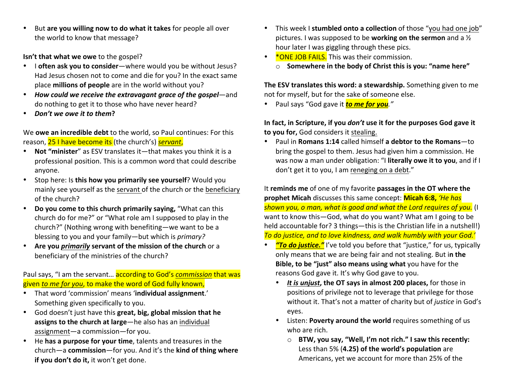• But are you willing now to do what it takes for people all over the world to know that message?

**Isn't that what we owe** to the gospel?

- I often ask you to consider—where would you be without Jesus? Had Jesus chosen not to come and die for you? In the exact same place **millions of people** are in the world without you?
- How could we receive the extravagant grace of the gospel—and do nothing to get it to those who have never heard?
- *Don't we owe it to them***?**

We **owe an incredible debt** to the world, so Paul continues: For this reason, 25 I have become its (the church's) *servant*,

- Not "minister" as ESV translates it-that makes you think it is a professional position. This is a common word that could describe anyone.
- Stop here: Is this how you primarily see yourself? Would you mainly see yourself as the servant of the church or the beneficiary of the church?
- Do you come to this church primarily saying, "What can this church do for me?" or "What role am I supposed to play in the church?" (Nothing wrong with benefiting—we want to be a blessing to you and your family—but which is *primary?*
- Are you *primarily* servant of the mission of the church or a beneficiary of the ministries of the church?

Paul says, "I am the servant... according to God's *commission* that was given *to me for you*, to make the word of God fully known,

- That word 'commission' means 'individual assignment.' Something given specifically to you.
- God doesn't just have this great, big, global mission that he **assigns to the church at large**—he also has an individual assignment-a commission-for you.
- He has a purpose for your time, talents and treasures in the church-a commission-for you. And it's the kind of thing where **if you don't do it,** it won't get done.
- This week I **stumbled onto a collection** of those "you had one job" pictures. I was supposed to be **working on the sermon** and a  $\frac{1}{2}$ hour later I was giggling through these pics.
- \* **\*ONE JOB FAILS.** This was their commission.  $\circ$  **Somewhere in the body of Christ this is you: "name here"**

**The ESV translates this word: a stewardship.** Something given to me not for myself, but for the sake of someone else.

• Paul says "God gave it **to me for you**."

In fact, in Scripture, if you *don't* use it for the purposes God gave it **to vou for,** God considers it stealing.

• Paul in **Romans 1:14** called himself a debtor to the Romans-to bring the gospel to them. Jesus had given him a commission. He was now a man under obligation: "I literally owe it to you, and if I don't get it to you, I am reneging on a debt."

It reminds me of one of my favorite passages in the OT where the **prophet Micah** discusses this same concept: **Micah 6:8,** 'He has *shown you, o man, what is good and what the Lord requires of you.* (I want to know this—God, what do you want? What am I going to be held accountable for? 3 things—this is the Christian life in a nutshell!) To do justice, and to love kindness, and walk humbly with your God.'

- **To do justice."** I've told you before that "justice," for us, typically only means that we are being fair and not stealing. But in the **Bible, to be "just" also means using what** you have for the reasons God gave it. It's why God gave to you.
	- It is unjust, the OT says in almost 200 places, for those in positions of privilege not to leverage that privilege for those without it. That's not a matter of charity but of *justice* in God's eyes.
	- Listen: **Poverty around the world** requires something of us who are rich.
		- o **BTW, you say, "Well, I'm not rich."** I saw this recently: Less than 5% (4.25) of the world's population are Americans, yet we account for more than 25% of the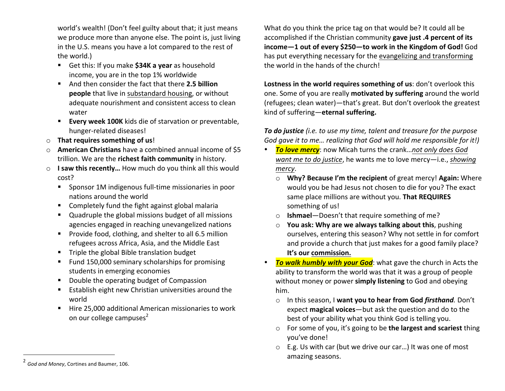world's wealth! (Don't feel guilty about that; it just means we produce more than anyone else. The point is, just living in the U.S. means you have a lot compared to the rest of the world.)

- Get this: If you make **\$34K a year** as household income, you are in the top 1% worldwide
- And then consider the fact that there 2.5 **billion people** that live in substandard housing, or without adequate nourishment and consistent access to clean water
- **Every week 100K** kids die of starvation or preventable, hunger-related diseases!
- $\circ$  **That requires something of us!**
- o **American Christians** have a combined annual income of \$5 trillion. We are the **richest faith community** in history.
- **I saw this recently...** How much do you think all this would cost?
	- Sponsor 1M indigenous full-time missionaries in poor nations around the world
	- Completely fund the fight against global malaria
	- Quadruple the global missions budget of all missions agencies engaged in reaching unevangelized nations
	- Provide food, clothing, and shelter to all 6.5 million refugees across Africa, Asia, and the Middle East
	- Triple the global Bible translation budget
	- Fund 150,000 seminary scholarships for promising students in emerging economies
	- Double the operating budget of Compassion
	- Establish eight new Christian universities around the world
	- Hire 25,000 additional American missionaries to work on our college campuses<sup>2</sup>

What do you think the price tag on that would be? It could all be accomplished if the Christian community gave just .4 percent of its **income-1 out of every \$250-to work in the Kingdom of God!** God has put everything necessary for the evangelizing and transforming the world in the hands of the church!

Lostness in the world requires something of us: don't overlook this one. Some of you are really **motivated by suffering** around the world (refugees; clean water)—that's great. But don't overlook the greatest kind of suffering—**eternal suffering.**

**To do justice** (i.e. to use my time, talent and treasure for the purpose *God gave it to me... realizing that God will hold me responsible for it!)* 

- **To love mercy**: now Micah turns the crank...not only does God *want me to do justice,* he wants me to love mercy-i.e., *showing mercy*.
	- o **Why? Because I'm the recipient** of great mercy! **Again:** Where would you be had Jesus not chosen to die for you? The exact same place millions are without you. That REQUIRES something of us!
	- o **Ishmael**—Doesn't that require something of me?
	- $\circ$  **You ask: Why are we always talking about this**, pushing ourselves, entering this season? Why not settle in for comfort and provide a church that just makes for a good family place? It's our commission.
- **To walk humbly with your God**: what gave the church in Acts the ability to transform the world was that it was a group of people without money or power **simply listening** to God and obeying him.
	- o In this season, I want you to hear from God *firsthand*. Don't expect **magical voices**—but ask the question and do to the best of your ability what you think God is telling you.
	- o For some of you, it's going to be the largest and scariest thing vou've done!
	- $\circ$  E.g. Us with car (but we drive our car...) It was one of most amazing seasons.

 

<sup>&</sup>lt;sup>2</sup> God and Money, Cortines and Baumer, 106.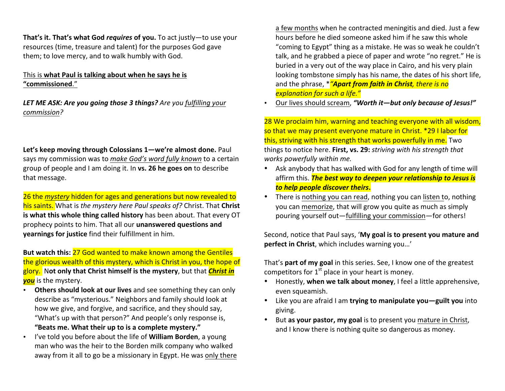**That's it. That's what God** *requires* of you. To act justly—to use your resources (time, treasure and talent) for the purposes God gave them; to love mercy, and to walk humbly with God.

#### This is what Paul is talking about when he says he is **"commissioned**."

**LET ME ASK: Are you going those 3 things?** Are you fulfilling your *commission?*

Let's keep moving through Colossians 1—we're almost done. Paul says my commission was to make God's word fully known to a certain group of people and I am doing it. In vs. 26 he goes on to describe that message.

**26 the** *mystery* hidden for ages and generations but now revealed to his saints. What is the mystery here Paul speaks of? Christ. That **Christ** is what this whole thing called history has been about. That every OT prophecy points to him. That all our *unanswered* questions and **yearnings for justice** find their fulfillment in him.

But watch this: 27 God wanted to make known among the Gentiles the glorious wealth of this mystery, which is Christ in you, the hope of glory. Not only that Christ himself is the mystery, but that *Christ in* **you** is the mystery.

- Others should look at our lives and see something they can only describe as "mysterious." Neighbors and family should look at how we give, and forgive, and sacrifice, and they should say, "What's up with that person?" And people's only response is, "Beats me. What their up to is a complete mystery."
- I've told you before about the life of **William Borden**, a young man who was the heir to the Borden milk company who walked away from it all to go be a missionary in Egypt. He was only there

a few months when he contracted meningitis and died. Just a few hours before he died someone asked him if he saw this whole "coming to Egypt" thing as a mistake. He was so weak he couldn't talk, and he grabbed a piece of paper and wrote "no regret." He is buried in a very out of the way place in Cairo, and his very plain looking tombstone simply has his name, the dates of his short life, and the phrase,  $*$ <sup>"</sup>**Apart from faith in Christ**, there is no *explanation for such a life."* 

Our lives should scream, "Worth it-but only because of Jesus!"

28 We proclaim him, warning and teaching everyone with all wisdom, so that we may present everyone mature in Christ. \*29 I labor for this, striving with his strength that works powerfully in me. Two things to notice here. First, vs. 29: *striving with his strength that* works powerfully within me.

- Ask anybody that has walked with God for any length of time will affirm this. **The best way to deepen your relationship to Jesus is** *to help people discover theirs***.**
- There is nothing you can read, nothing you can listen to, nothing you can memorize, that will grow you quite as much as simply pouring yourself out—fulfilling your commission—for others!

Second, notice that Paul says, 'My goal is to present you mature and **perfect in Christ**, which includes warning you...'

That's **part of my goal** in this series. See, I know one of the greatest competitors for  $1<sup>st</sup>$  place in your heart is money.

- Honestly, when we talk about money, I feel a little apprehensive, even squeamish.
- Like you are afraid I am trying to manipulate you-guilt you into giving.
- But as your pastor, my goal is to present you mature in Christ, and I know there is nothing quite so dangerous as money.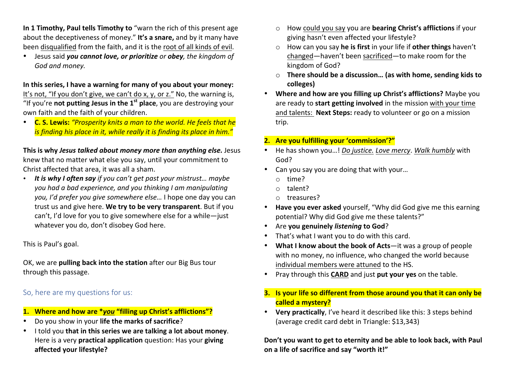**In 1 Timothy, Paul tells Timothy to** "warn the rich of this present age about the deceptiveness of money." It's a snare, and by it many have been disqualified from the faith, and it is the root of all kinds of evil.

• Jesus said you cannot love, or prioritize or obey, the kingdom of *God and money.*

In this series, I have a warning for many of you about your money: It's not, "If you don't give, we can't do x, y, or z." No, the warning is, "If you're **not putting Jesus in the**  $1<sup>st</sup>$  **place**, you are destroying your own faith and the faith of your children.

• **C. S. Lewis:** "Prosperity knits a man to the world. He feels that he *is finding his place in it, while really it is finding its place in him."* 

**This is why** *Jesus talked about money more than anything else.* **Jesus** knew that no matter what else you say, until your commitment to Christ affected that area, it was all a sham.

• It is why I often say if you can't get past your mistrust... maybe *you had a bad experience, and you thinking I am manipulating you, I'd prefer you give somewhere else...* I hope one day you can trust us and give here. We try to be very transparent. But if you can't, I'd love for you to give somewhere else for a while-just whatever you do, don't disobey God here.

This is Paul's goal.

OK, we are **pulling back into the station** after our Big Bus tour through this passage.

### So, here are my questions for us:

- **1.** Where and how are \**you* "filling up Christ's afflictions"?
- Do you show in your **life the marks of sacrifice**?
- I told you that in this series we are talking a lot about money. Here is a very **practical application** question: Has your **giving affected your lifestyle?**
- o How could you say you are **bearing Christ's afflictions** if your giving hasn't even affected your lifestyle?
- o How can you say he is first in your life if other things haven't changed—haven't been sacrificed—to make room for the kingdom of God?
- o **There should be a discussion... (as with home, sending kids to colleges)**
- Where and how are you filling up Christ's afflictions? Maybe you are ready to **start getting involved** in the mission with your time and talents: Next Steps: ready to volunteer or go on a mission trip.

#### **2. Are you fulfilling your 'commission'?"**

- He has shown you...! *Do justice. Love mercy*. Walk humbly with God?
- Can you say you are doing that with your...
	- o time?
	- o talent?
	- o treasures?
- Have you ever asked yourself, "Why did God give me this earning potential? Why did God give me these talents?"
- Are you genuinely *listening* to God?
- That's what I want you to do with this card.
- **What I know about the book of Acts**—it was a group of people with no money, no influence, who changed the world because individual members were attuned to the HS.
- Pray through this **CARD** and just **put your yes** on the table.

## **3.** Is your life so different from those around you that it can only be **called a mystery?**

• Very practically, I've heard it described like this: 3 steps behind (average credit card debt in Triangle: \$13,343)

Don't you want to get to eternity and be able to look back, with Paul on a life of sacrifice and say "worth it!"